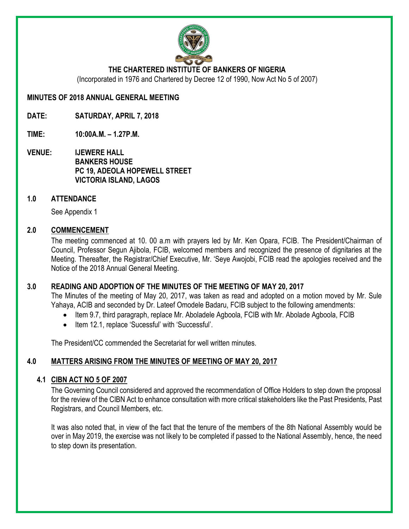

#### **THE CHARTERED INSTITUTE OF BANKERS OF NIGERIA**

(Incorporated in 1976 and Chartered by Decree 12 of 1990, Now Act No 5 of 2007)

**MINUTES OF 2018 ANNUAL GENERAL MEETING**

**DATE: SATURDAY, APRIL 7, 2018**

**TIME: 10:00A.M. – 1.27P.M.**

**VENUE: IJEWERE HALL BANKERS HOUSE PC 19, ADEOLA HOPEWELL STREET VICTORIA ISLAND, LAGOS**

#### **1.0 ATTENDANCE**

See Appendix 1

#### **2.0 COMMENCEMENT**

The meeting commenced at 10. 00 a.m with prayers led by Mr. Ken Opara, FCIB. The President/Chairman of Council, Professor Segun Ajibola, FCIB, welcomed members and recognized the presence of dignitaries at the Meeting. Thereafter, the Registrar/Chief Executive, Mr. 'Seye Awojobi, FCIB read the apologies received and the Notice of the 2018 Annual General Meeting.

#### **3.0 READING AND ADOPTION OF THE MINUTES OF THE MEETING OF MAY 20, 2017**

The Minutes of the meeting of May 20, 2017, was taken as read and adopted on a motion moved by Mr. Sule Yahaya, ACIB and seconded by Dr. Lateef Omodele Badaru, FCIB subject to the following amendments:

- Item 9.7, third paragraph, replace Mr. Aboladele Agboola, FCIB with Mr. Abolade Agboola, FCIB
- Item 12.1, replace 'Sucessful' with 'Successful'.

The President/CC commended the Secretariat for well written minutes.

## **4.0 MATTERS ARISING FROM THE MINUTES OF MEETING OF MAY 20, 2017**

#### **4.1 CIBN ACT NO 5 OF 2007**

The Governing Council considered and approved the recommendation of Office Holders to step down the proposal for the review of the CIBN Act to enhance consultation with more critical stakeholders like the Past Presidents, Past Registrars, and Council Members, etc.

It was also noted that, in view of the fact that the tenure of the members of the 8th National Assembly would be over in May 2019, the exercise was not likely to be completed if passed to the National Assembly, hence, the need to step down its presentation.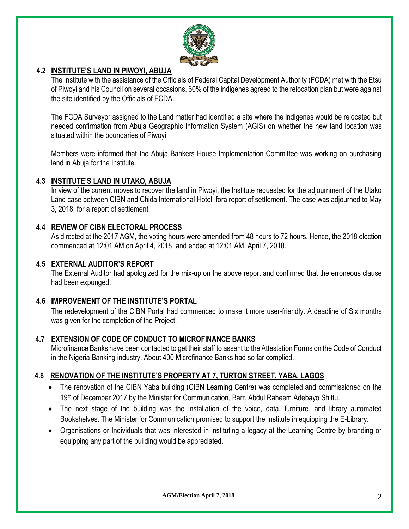

#### **4.2 INSTITUTE'S LAND IN PIWOYI, ABUJA**

The Institute with the assistance of the Officials of Federal Capital Development Authority (FCDA) met with the Etsu of Piwoyi and his Council on several occasions. 60% of the indigenes agreed to the relocation plan but were against the site identified by the Officials of FCDA.

The FCDA Surveyor assigned to the Land matter had identified a site where the indigenes would be relocated but needed confirmation from Abuja Geographic Information System (AGIS) on whether the new land location was situated within the boundaries of Piwoyi.

Members were informed that the Abuja Bankers House Implementation Committee was working on purchasing land in Abuja for the Institute.

#### **4.3 INSTITUTE'S LAND IN UTAKO, ABUJA**

In view of the current moves to recover the land in Piwoyi, the Institute requested for the adjournment of the Utako Land case between CIBN and Chida International Hotel, fora report of settlement. The case was adjourned to May 3, 2018, for a report of settlement.

#### **4.4 REVIEW OF CIBN ELECTORAL PROCESS**

As directed at the 2017 AGM, the voting hours were amended from 48 hours to 72 hours. Hence, the 2018 election commenced at 12:01 AM on April 4, 2018, and ended at 12:01 AM, April 7, 2018.

#### **4.5 EXTERNAL AUDITOR'S REPORT**

The External Auditor had apologized for the mix-up on the above report and confirmed that the erroneous clause had been expunged.

#### **4.6 IMPROVEMENT OF THE INSTITUTE'S PORTAL**

The redevelopment of the CIBN Portal had commenced to make it more user-friendly. A deadline of Six months was given for the completion of the Project.

#### **4.7 EXTENSION OF CODE OF CONDUCT TO MICROFINANCE BANKS**

Microfinance Banks have been contacted to get their staff to assent to the Attestation Forms on the Code of Conduct in the Nigeria Banking industry. About 400 Microfinance Banks had so far complied.

## **4.8 RENOVATION OF THE INSTITUTE'S PROPERTY AT 7, TURTON STREET, YABA, LAGOS**

- The renovation of the CIBN Yaba building (CIBN Learning Centre) was completed and commissioned on the 19th of December 2017 by the Minister for Communication, Barr. Abdul Raheem Adebayo Shittu.
- The next stage of the building was the installation of the voice, data, furniture, and library automated Bookshelves. The Minister for Communication promised to support the Institute in equipping the E-Library.
- Organisations or Individuals that was interested in instituting a legacy at the Learning Centre by branding or equipping any part of the building would be appreciated.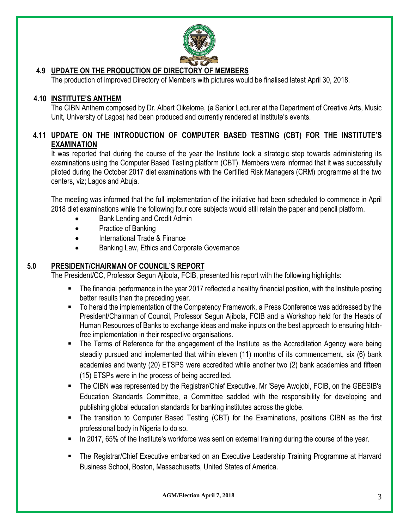

## **4.9 UPDATE ON THE PRODUCTION OF DIRECTORY OF MEMBERS**

The production of improved Directory of Members with pictures would be finalised latest April 30, 2018.

### **4.10 INSTITUTE'S ANTHEM**

The CIBN Anthem composed by Dr. Albert Oikelome, (a Senior Lecturer at the Department of Creative Arts, Music Unit, University of Lagos) had been produced and currently rendered at Institute's events.

## **4.11 UPDATE ON THE INTRODUCTION OF COMPUTER BASED TESTING (CBT) FOR THE INSTITUTE'S EXAMINATION**

It was reported that during the course of the year the Institute took a strategic step towards administering its examinations using the Computer Based Testing platform (CBT). Members were informed that it was successfully piloted during the October 2017 diet examinations with the Certified Risk Managers (CRM) programme at the two centers, viz; Lagos and Abuja.

The meeting was informed that the full implementation of the initiative had been scheduled to commence in April 2018 diet examinations while the following four core subjects would still retain the paper and pencil platform.

- Bank Lending and Credit Admin
- Practice of Banking
- International Trade & Finance
- Banking Law, Ethics and Corporate Governance

#### **5.0 PRESIDENT/CHAIRMAN OF COUNCIL'S REPORT**

The President/CC, Professor Segun Ajibola, FCIB, presented his report with the following highlights:

- The financial performance in the year 2017 reflected a healthy financial position, with the Institute posting better results than the preceding year.
- To herald the implementation of the Competency Framework, a Press Conference was addressed by the President/Chairman of Council, Professor Segun Ajibola, FCIB and a Workshop held for the Heads of Human Resources of Banks to exchange ideas and make inputs on the best approach to ensuring hitchfree implementation in their respective organisations.
- The Terms of Reference for the engagement of the Institute as the Accreditation Agency were being steadily pursued and implemented that within eleven (11) months of its commencement, six (6) bank academies and twenty (20) ETSPS were accredited while another two (2) bank academies and fifteen (15) ETSPs were in the process of being accredited.
- The CIBN was represented by the Registrar/Chief Executive, Mr 'Seye Awojobi, FCIB, on the GBEStB's Education Standards Committee, a Committee saddled with the responsibility for developing and publishing global education standards for banking institutes across the globe.
- The transition to Computer Based Testing (CBT) for the Examinations, positions CIBN as the first professional body in Nigeria to do so.
- In 2017, 65% of the Institute's workforce was sent on external training during the course of the year.
- The Registrar/Chief Executive embarked on an Executive Leadership Training Programme at Harvard Business School, Boston, Massachusetts, United States of America.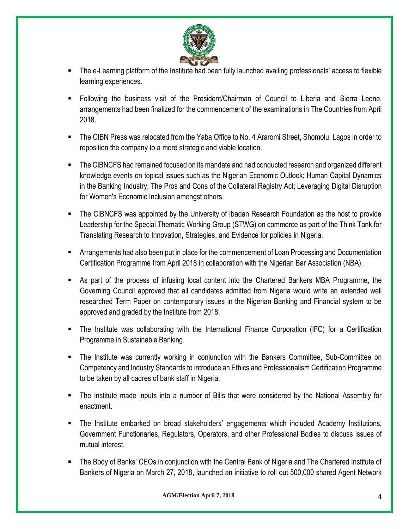

- The e-Learning platform of the Institute had been fully launched availing professionals' access to flexible learning experiences.
- Following the business visit of the President/Chairman of Council to Liberia and Sierra Leone, arrangements had been finalized for the commencement of the examinations in The Countries from April 2018.
- The CIBN Press was relocated from the Yaba Office to No. 4 Araromi Street, Shomolu, Lagos in order to reposition the company to a more strategic and viable location.
- The CIBNCFS had remained focused on its mandate and had conducted research and organized different knowledge events on topical issues such as the Nigerian Economic Outlook; Human Capital Dynamics in the Banking Industry; The Pros and Cons of the Collateral Registry Act; Leveraging Digital Disruption for Women's Economic Inclusion amongst others.
- The CIBNCFS was appointed by the University of Ibadan Research Foundation as the host to provide Leadership for the Special Thematic Working Group (STWG) on commerce as part of the Think Tank for Translating Research to Innovation, Strategies, and Evidence for policies in Nigeria.
- Arrangements had also been put in place for the commencement of Loan Processing and Documentation Certification Programme from April 2018 in collaboration with the Nigerian Bar Association (NBA).
- As part of the process of infusing local content into the Chartered Bankers MBA Programme, the Governing Council approved that all candidates admitted from Nigeria would write an extended well researched Term Paper on contemporary issues in the Nigerian Banking and Financial system to be approved and graded by the Institute from 2018.
- The Institute was collaborating with the International Finance Corporation (IFC) for a Certification Programme in Sustainable Banking.
- The Institute was currently working in conjunction with the Bankers Committee, Sub-Committee on Competency and Industry Standards to introduce an Ethics and Professionalism Certification Programme to be taken by all cadres of bank staff in Nigeria.
- The Institute made inputs into a number of Bills that were considered by the National Assembly for enactment.
- The Institute embarked on broad stakeholders' engagements which included Academy Institutions, Government Functionaries, Regulators, Operators, and other Professional Bodies to discuss issues of mutual interest.
- The Body of Banks' CEOs in conjunction with the Central Bank of Nigeria and The Chartered Institute of Bankers of Nigeria on March 27, 2018, launched an initiative to roll out 500,000 shared Agent Network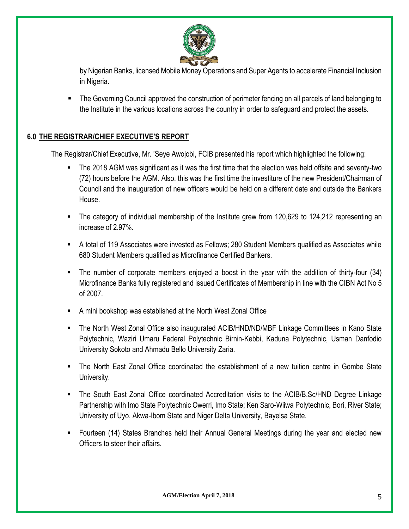

by Nigerian Banks, licensed Mobile Money Operations and Super Agents to accelerate Financial Inclusion in Nigeria.

The Governing Council approved the construction of perimeter fencing on all parcels of land belonging to the Institute in the various locations across the country in order to safeguard and protect the assets.

## **6.0 THE REGISTRAR/CHIEF EXECUTIVE'S REPORT**

The Registrar/Chief Executive, Mr. 'Seye Awojobi, FCIB presented his report which highlighted the following:

- The 2018 AGM was significant as it was the first time that the election was held offsite and seventy-two (72) hours before the AGM. Also, this was the first time the investiture of the new President/Chairman of Council and the inauguration of new officers would be held on a different date and outside the Bankers House.
- The category of individual membership of the Institute grew from 120,629 to 124,212 representing an increase of 2.97%.
- A total of 119 Associates were invested as Fellows; 280 Student Members qualified as Associates while 680 Student Members qualified as Microfinance Certified Bankers.
- The number of corporate members enjoyed a boost in the year with the addition of thirty-four (34) Microfinance Banks fully registered and issued Certificates of Membership in line with the CIBN Act No 5 of 2007.
- A mini bookshop was established at the North West Zonal Office
- The North West Zonal Office also inaugurated ACIB/HND/ND/MBF Linkage Committees in Kano State Polytechnic, Waziri Umaru Federal Polytechnic Birnin-Kebbi, Kaduna Polytechnic, Usman Danfodio University Sokoto and Ahmadu Bello University Zaria.
- The North East Zonal Office coordinated the establishment of a new tuition centre in Gombe State University.
- The South East Zonal Office coordinated Accreditation visits to the ACIB/B.Sc/HND Degree Linkage Partnership with Imo State Polytechnic Owerri, Imo State; Ken Saro-Wiiwa Polytechnic, Bori, River State; University of Uyo, Akwa-Ibom State and Niger Delta University, Bayelsa State.
- Fourteen (14) States Branches held their Annual General Meetings during the year and elected new Officers to steer their affairs.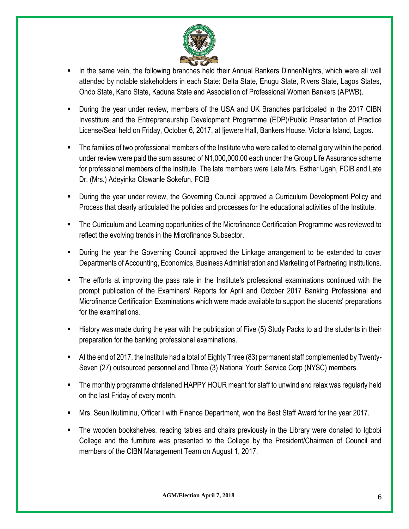

- In the same vein, the following branches held their Annual Bankers Dinner/Nights, which were all well attended by notable stakeholders in each State: Delta State, Enugu State, Rivers State, Lagos States, Ondo State, Kano State, Kaduna State and Association of Professional Women Bankers (APWB).
- During the year under review, members of the USA and UK Branches participated in the 2017 CIBN Investiture and the Entrepreneurship Development Programme (EDP)/Public Presentation of Practice License/Seal held on Friday, October 6, 2017, at Ijewere Hall, Bankers House, Victoria Island, Lagos.
- The families of two professional members of the Institute who were called to eternal glory within the period under review were paid the sum assured of N1,000,000.00 each under the Group Life Assurance scheme for professional members of the Institute. The late members were Late Mrs. Esther Ugah, FCIB and Late Dr. (Mrs.) Adeyinka Olawanle Sokefun, FCIB
- During the year under review, the Governing Council approved a Curriculum Development Policy and Process that clearly articulated the policies and processes for the educational activities of the Institute.
- The Curriculum and Learning opportunities of the Microfinance Certification Programme was reviewed to reflect the evolving trends in the Microfinance Subsector.
- During the year the Governing Council approved the Linkage arrangement to be extended to cover Departments of Accounting, Economics, Business Administration and Marketing of Partnering Institutions.
- The efforts at improving the pass rate in the Institute's professional examinations continued with the prompt publication of the Examiners' Reports for April and October 2017 Banking Professional and Microfinance Certification Examinations which were made available to support the students' preparations for the examinations.
- History was made during the year with the publication of Five (5) Study Packs to aid the students in their preparation for the banking professional examinations.
- At the end of 2017, the Institute had a total of Eighty Three (83) permanent staff complemented by Twenty-Seven (27) outsourced personnel and Three (3) National Youth Service Corp (NYSC) members.
- The monthly programme christened HAPPY HOUR meant for staff to unwind and relax was regularly held on the last Friday of every month.
- Mrs. Seun Ikutiminu, Officer I with Finance Department, won the Best Staff Award for the year 2017.
- The wooden bookshelves, reading tables and chairs previously in the Library were donated to Igbobi College and the furniture was presented to the College by the President/Chairman of Council and members of the CIBN Management Team on August 1, 2017.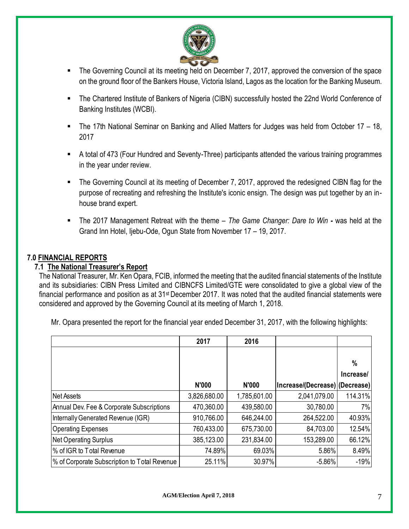

- The Governing Council at its meeting held on December 7, 2017, approved the conversion of the space on the ground floor of the Bankers House, Victoria Island, Lagos as the location for the Banking Museum.
- The Chartered Institute of Bankers of Nigeria (CIBN) successfully hosted the 22nd World Conference of Banking Institutes (WCBI).
- The 17th National Seminar on Banking and Allied Matters for Judges was held from October 17 18, 2017
- A total of 473 (Four Hundred and Seventy-Three) participants attended the various training programmes in the year under review.
- The Governing Council at its meeting of December 7, 2017, approved the redesigned CIBN flag for the purpose of recreating and refreshing the Institute's iconic ensign. The design was put together by an inhouse brand expert.
- The 2017 Management Retreat with the theme *The Game Changer: Dare to Win -* was held at the Grand Inn Hotel, Ijebu-Ode, Ogun State from November 17 – 19, 2017.

#### **7.0 FINANCIAL REPORTS**

#### **7.1 The National Treasurer's Report**

The National Treasurer, Mr. Ken Opara, FCIB, informed the meeting that the audited financial statements of the Institute and its subsidiaries: CIBN Press Limited and CIBNCFS Limited/GTE were consolidated to give a global view of the financial performance and position as at 31st December 2017. It was noted that the audited financial statements were considered and approved by the Governing Council at its meeting of March 1, 2018.

Mr. Opara presented the report for the financial year ended December 31, 2017, with the following highlights:

|                                              | 2017         | 2016         |                                |           |
|----------------------------------------------|--------------|--------------|--------------------------------|-----------|
|                                              |              |              |                                |           |
|                                              |              |              |                                | %         |
|                                              |              |              |                                | Increase/ |
|                                              | N'000        | <b>N'000</b> | Increase/(Decrease) (Decrease) |           |
| <b>Net Assets</b>                            | 3,826,680.00 | 1,785,601.00 | 2,041,079.00                   | 114.31%   |
| Annual Dev. Fee & Corporate Subscriptions    | 470,360.00   | 439,580.00   | 30,780.00                      | 7%        |
| Internally Generated Revenue (IGR)           | 910,766.00   | 646,244.00   | 264,522.00                     | 40.93%    |
| <b>Operating Expenses</b>                    | 760,433.00   | 675,730.00   | 84,703.00                      | 12.54%    |
| Net Operating Surplus                        | 385,123.00   | 231,834.00   | 153,289.00                     | 66.12%    |
| % of IGR to Total Revenue                    | 74.89%       | 69.03%       | 5.86%                          | 8.49%     |
| % of Corporate Subscription to Total Revenue | 25.11%       | 30.97%       | $-5.86%$                       | $-19%$    |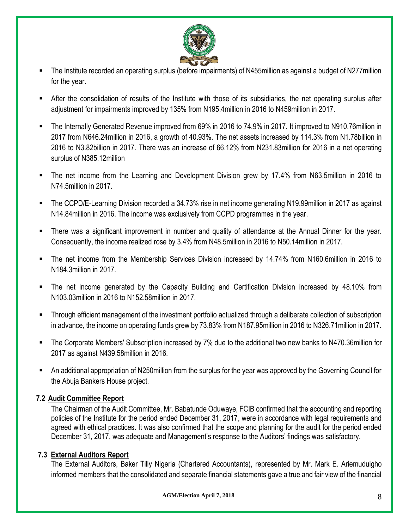

- The Institute recorded an operating surplus (before impairments) of N455million as against a budget of N277million for the year.
- After the consolidation of results of the Institute with those of its subsidiaries, the net operating surplus after adjustment for impairments improved by 135% from N195.4million in 2016 to N459million in 2017.
- The Internally Generated Revenue improved from 69% in 2016 to 74.9% in 2017. It improved to N910.76million in 2017 from N646.24million in 2016, a growth of 40.93%. The net assets increased by 114.3% from N1.78billion in 2016 to N3.82billion in 2017. There was an increase of 66.12% from N231.83million for 2016 in a net operating surplus of N385.12million
- The net income from the Learning and Development Division grew by 17.4% from N63.5million in 2016 to N74.5million in 2017.
- The CCPD/E-Learning Division recorded a 34.73% rise in net income generating N19.99million in 2017 as against N14.84million in 2016. The income was exclusively from CCPD programmes in the year.
- **There was a significant improvement in number and quality of attendance at the Annual Dinner for the year.** Consequently, the income realized rose by 3.4% from N48.5million in 2016 to N50.14million in 2017.
- The net income from the Membership Services Division increased by 14.74% from N160.6million in 2016 to N184.3million in 2017.
- The net income generated by the Capacity Building and Certification Division increased by 48.10% from N103.03million in 2016 to N152.58million in 2017.
- Through efficient management of the investment portfolio actualized through a deliberate collection of subscription in advance, the income on operating funds grew by 73.83% from N187.95million in 2016 to N326.71million in 2017.
- The Corporate Members' Subscription increased by 7% due to the additional two new banks to N470.36million for 2017 as against N439.58million in 2016.
- An additional appropriation of N250million from the surplus for the year was approved by the Governing Council for the Abuja Bankers House project.

## **7.2 Audit Committee Report**

The Chairman of the Audit Committee, Mr. Babatunde Oduwaye, FCIB confirmed that the accounting and reporting policies of the Institute for the period ended December 31, 2017, were in accordance with legal requirements and agreed with ethical practices. It was also confirmed that the scope and planning for the audit for the period ended December 31, 2017, was adequate and Management's response to the Auditors' findings was satisfactory.

#### **7.3 External Auditors Report**

The External Auditors, Baker Tilly Nigeria (Chartered Accountants), represented by Mr. Mark E. Ariemuduigho informed members that the consolidated and separate financial statements gave a true and fair view of the financial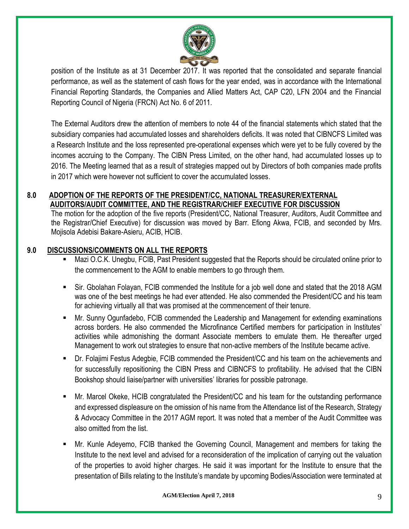

position of the Institute as at 31 December 2017. It was reported that the consolidated and separate financial performance, as well as the statement of cash flows for the year ended, was in accordance with the International Financial Reporting Standards, the Companies and Allied Matters Act, CAP C20, LFN 2004 and the Financial Reporting Council of Nigeria (FRCN) Act No. 6 of 2011.

The External Auditors drew the attention of members to note 44 of the financial statements which stated that the subsidiary companies had accumulated losses and shareholders deficits. It was noted that CIBNCFS Limited was a Research Institute and the loss represented pre-operational expenses which were yet to be fully covered by the incomes accruing to the Company. The CIBN Press Limited, on the other hand, had accumulated losses up to 2016. The Meeting learned that as a result of strategies mapped out by Directors of both companies made profits in 2017 which were however not sufficient to cover the accumulated losses.

## **8.0 ADOPTION OF THE REPORTS OF THE PRESIDENT/CC, NATIONAL TREASURER/EXTERNAL AUDITORS/AUDIT COMMITTEE, AND THE REGISTRAR/CHIEF EXECUTIVE FOR DISCUSSION**

The motion for the adoption of the five reports (President/CC, National Treasurer, Auditors, Audit Committee and the Registrar/Chief Executive) for discussion was moved by Barr. Efiong Akwa, FCIB, and seconded by Mrs. Mojisola Adebisi Bakare-Asieru, ACIB, HCIB.

## **9.0 DISCUSSIONS/COMMENTS ON ALL THE REPORTS**

- Mazi O.C.K. Unegbu, FCIB, Past President suggested that the Reports should be circulated online prior to the commencement to the AGM to enable members to go through them.
- Sir. Gbolahan Folayan, FCIB commended the Institute for a job well done and stated that the 2018 AGM was one of the best meetings he had ever attended. He also commended the President/CC and his team for achieving virtually all that was promised at the commencement of their tenure.
- Mr. Sunny Ogunfadebo, FCIB commended the Leadership and Management for extending examinations across borders. He also commended the Microfinance Certified members for participation in Institutes' activities while admonishing the dormant Associate members to emulate them. He thereafter urged Management to work out strategies to ensure that non-active members of the Institute became active.
- Dr. Folajimi Festus Adegbie, FCIB commended the President/CC and his team on the achievements and for successfully repositioning the CIBN Press and CIBNCFS to profitability. He advised that the CIBN Bookshop should liaise/partner with universities' libraries for possible patronage.
- Mr. Marcel Okeke, HCIB congratulated the President/CC and his team for the outstanding performance and expressed displeasure on the omission of his name from the Attendance list of the Research, Strategy & Advocacy Committee in the 2017 AGM report. It was noted that a member of the Audit Committee was also omitted from the list.
- Mr. Kunle Adeyemo, FCIB thanked the Governing Council, Management and members for taking the Institute to the next level and advised for a reconsideration of the implication of carrying out the valuation of the properties to avoid higher charges. He said it was important for the Institute to ensure that the presentation of Bills relating to the Institute's mandate by upcoming Bodies/Association were terminated at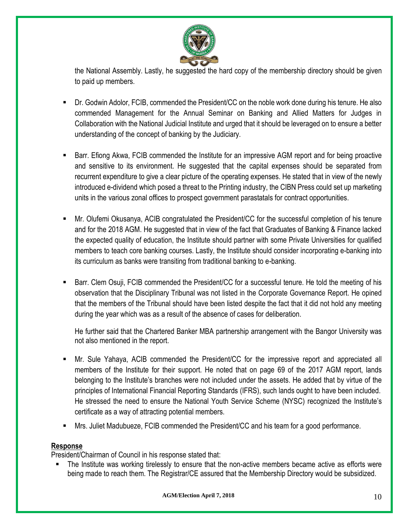

the National Assembly. Lastly, he suggested the hard copy of the membership directory should be given to paid up members.

- Dr. Godwin Adolor, FCIB, commended the President/CC on the noble work done during his tenure. He also commended Management for the Annual Seminar on Banking and Allied Matters for Judges in Collaboration with the National Judicial Institute and urged that it should be leveraged on to ensure a better understanding of the concept of banking by the Judiciary.
- Barr. Efiong Akwa, FCIB commended the Institute for an impressive AGM report and for being proactive and sensitive to its environment. He suggested that the capital expenses should be separated from recurrent expenditure to give a clear picture of the operating expenses. He stated that in view of the newly introduced e-dividend which posed a threat to the Printing industry, the CIBN Press could set up marketing units in the various zonal offices to prospect government parastatals for contract opportunities.
- Mr. Olufemi Okusanya, ACIB congratulated the President/CC for the successful completion of his tenure and for the 2018 AGM. He suggested that in view of the fact that Graduates of Banking & Finance lacked the expected quality of education, the Institute should partner with some Private Universities for qualified members to teach core banking courses. Lastly, the Institute should consider incorporating e-banking into its curriculum as banks were transiting from traditional banking to e-banking.
- Barr. Clem Osuji, FCIB commended the President/CC for a successful tenure. He told the meeting of his observation that the Disciplinary Tribunal was not listed in the Corporate Governance Report. He opined that the members of the Tribunal should have been listed despite the fact that it did not hold any meeting during the year which was as a result of the absence of cases for deliberation.

He further said that the Chartered Banker MBA partnership arrangement with the Bangor University was not also mentioned in the report.

- Mr. Sule Yahaya, ACIB commended the President/CC for the impressive report and appreciated all members of the Institute for their support. He noted that on page 69 of the 2017 AGM report, lands belonging to the Institute's branches were not included under the assets. He added that by virtue of the principles of International Financial Reporting Standards (IFRS), such lands ought to have been included. He stressed the need to ensure the National Youth Service Scheme (NYSC) recognized the Institute's certificate as a way of attracting potential members.
- Mrs. Juliet Madubueze, FCIB commended the President/CC and his team for a good performance.

#### **Response**

President/Chairman of Council in his response stated that:

The Institute was working tirelessly to ensure that the non-active members became active as efforts were being made to reach them. The Registrar/CE assured that the Membership Directory would be subsidized.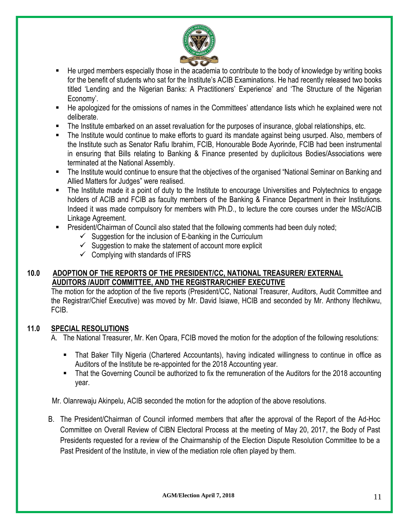

- He urged members especially those in the academia to contribute to the body of knowledge by writing books for the benefit of students who sat for the Institute's ACIB Examinations. He had recently released two books titled 'Lending and the Nigerian Banks: A Practitioners' Experience' and 'The Structure of the Nigerian Economy'.
- He apologized for the omissions of names in the Committees' attendance lists which he explained were not deliberate.
- The Institute embarked on an asset revaluation for the purposes of insurance, global relationships, etc.
- The Institute would continue to make efforts to guard its mandate against being usurped. Also, members of the Institute such as Senator Rafiu Ibrahim, FCIB, Honourable Bode Ayorinde, FCIB had been instrumental in ensuring that Bills relating to Banking & Finance presented by duplicitous Bodies/Associations were terminated at the National Assembly.
- The Institute would continue to ensure that the objectives of the organised "National Seminar on Banking and Allied Matters for Judges" were realised.
- The Institute made it a point of duty to the Institute to encourage Universities and Polytechnics to engage holders of ACIB and FCIB as faculty members of the Banking & Finance Department in their Institutions. Indeed it was made compulsory for members with Ph.D., to lecture the core courses under the MSc/ACIB Linkage Agreement.
- **EXE** President/Chairman of Council also stated that the following comments had been duly noted;
	- $\checkmark$  Suggestion for the inclusion of E-banking in the Curriculum
	- $\checkmark$  Suggestion to make the statement of account more explicit
	- $\checkmark$  Complying with standards of IFRS

#### **10.0 ADOPTION OF THE REPORTS OF THE PRESIDENT/CC, NATIONAL TREASURER/ EXTERNAL AUDITORS /AUDIT COMMITTEE, AND THE REGISTRAR/CHIEF EXECUTIVE**

The motion for the adoption of the five reports (President/CC, National Treasurer, Auditors, Audit Committee and the Registrar/Chief Executive) was moved by Mr. David Isiawe, HCIB and seconded by Mr. Anthony Ifechikwu, FCIB.

#### **11.0 SPECIAL RESOLUTIONS**

A. The National Treasurer, Mr. Ken Opara, FCIB moved the motion for the adoption of the following resolutions:

- That Baker Tilly Nigeria (Chartered Accountants), having indicated willingness to continue in office as Auditors of the Institute be re-appointed for the 2018 Accounting year.
- That the Governing Council be authorized to fix the remuneration of the Auditors for the 2018 accounting year.

Mr. Olanrewaju Akinpelu, ACIB seconded the motion for the adoption of the above resolutions.

B. The President/Chairman of Council informed members that after the approval of the Report of the Ad-Hoc Committee on Overall Review of CIBN Electoral Process at the meeting of May 20, 2017, the Body of Past Presidents requested for a review of the Chairmanship of the Election Dispute Resolution Committee to be a Past President of the Institute, in view of the mediation role often played by them.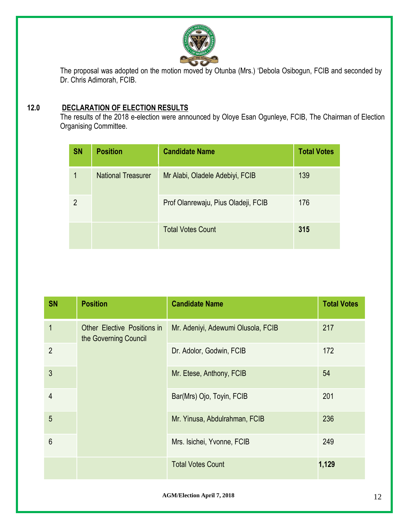

The proposal was adopted on the motion moved by Otunba (Mrs.) 'Debola Osibogun, FCIB and seconded by Dr. Chris Adimorah, FCIB.

## **12.0 DECLARATION OF ELECTION RESULTS**

The results of the 2018 e-election were announced by Oloye Esan Ogunleye, FCIB, The Chairman of Election Organising Committee.

| <b>SN</b>      | <b>Position</b>           | <b>Candidate Name</b>               | <b>Total Votes</b> |
|----------------|---------------------------|-------------------------------------|--------------------|
|                | <b>National Treasurer</b> | Mr Alabi, Oladele Adebiyi, FCIB     | 139                |
| $\overline{2}$ |                           | Prof Olanrewaju, Pius Oladeji, FCIB | 176                |
|                |                           | <b>Total Votes Count</b>            | 315                |

| <b>SN</b>      | <b>Position</b>                                      | <b>Candidate Name</b>              | <b>Total Votes</b> |
|----------------|------------------------------------------------------|------------------------------------|--------------------|
| $\mathbf{1}$   | Other Elective Positions in<br>the Governing Council | Mr. Adeniyi, Adewumi Olusola, FCIB | 217                |
| $\overline{2}$ |                                                      | Dr. Adolor, Godwin, FCIB           | 172                |
| $\mathfrak{Z}$ |                                                      | Mr. Etese, Anthony, FCIB           | 54                 |
| $\overline{4}$ |                                                      | Bar(Mrs) Ojo, Toyin, FCIB          | 201                |
| 5              |                                                      | Mr. Yinusa, Abdulrahman, FCIB      | 236                |
| $6\phantom{1}$ |                                                      | Mrs. Isichei, Yvonne, FCIB         | 249                |
|                |                                                      | <b>Total Votes Count</b>           | 1,129              |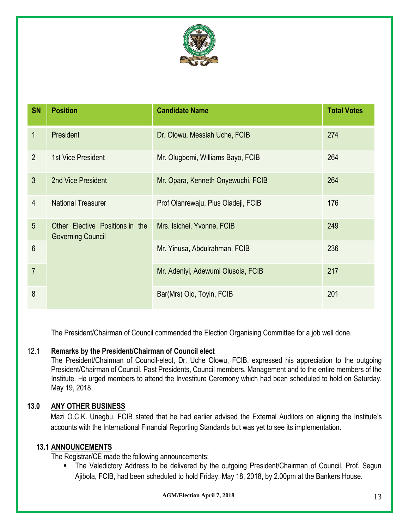

| <b>SN</b>      | <b>Position</b>                                             | <b>Candidate Name</b>               | <b>Total Votes</b> |
|----------------|-------------------------------------------------------------|-------------------------------------|--------------------|
| 1              | President                                                   | Dr. Olowu, Messiah Uche, FCIB       | 274                |
| $\overline{2}$ | 1st Vice President                                          | Mr. Olugbemi, Williams Bayo, FCIB   | 264                |
| $\mathfrak{Z}$ | 2nd Vice President                                          | Mr. Opara, Kenneth Onyewuchi, FCIB  | 264                |
| 4              | <b>National Treasurer</b>                                   | Prof Olanrewaju, Pius Oladeji, FCIB | 176                |
| 5              | Other Elective Positions in the<br><b>Governing Council</b> | Mrs. Isichei, Yvonne, FCIB          | 249                |
| $6\phantom{1}$ |                                                             | Mr. Yinusa, Abdulrahman, FCIB       | 236                |
| $\overline{7}$ |                                                             | Mr. Adeniyi, Adewumi Olusola, FCIB  | 217                |
| 8              |                                                             | Bar(Mrs) Ojo, Toyin, FCIB           | 201                |

The President/Chairman of Council commended the Election Organising Committee for a job well done.

#### 12.1 **Remarks by the President/Chairman of Council elect**

The President/Chairman of Council-elect, Dr. Uche Olowu, FCIB, expressed his appreciation to the outgoing President/Chairman of Council, Past Presidents, Council members, Management and to the entire members of the Institute. He urged members to attend the Investiture Ceremony which had been scheduled to hold on Saturday, May 19, 2018.

#### **13.0 ANY OTHER BUSINESS**

Mazi O.C.K. Unegbu, FCIB stated that he had earlier advised the External Auditors on aligning the Institute's accounts with the International Financial Reporting Standards but was yet to see its implementation.

#### **13.1 ANNOUNCEMENTS**

The Registrar/CE made the following announcements;

The Valedictory Address to be delivered by the outgoing President/Chairman of Council, Prof. Segun Ajibola, FCIB, had been scheduled to hold Friday, May 18, 2018, by 2.00pm at the Bankers House.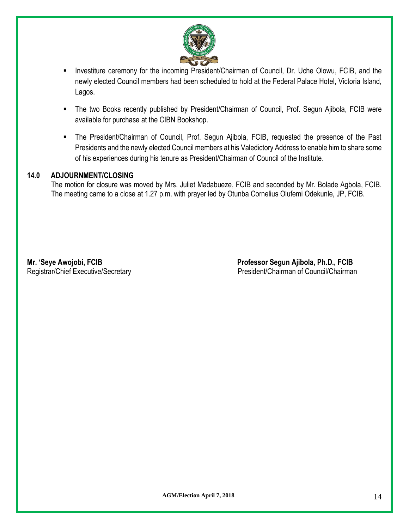

- Investiture ceremony for the incoming President/Chairman of Council, Dr. Uche Olowu, FCIB, and the newly elected Council members had been scheduled to hold at the Federal Palace Hotel, Victoria Island, Lagos.
- The two Books recently published by President/Chairman of Council, Prof. Segun Ajibola, FCIB were available for purchase at the CIBN Bookshop.
- The President/Chairman of Council, Prof. Segun Ajibola, FCIB, requested the presence of the Past Presidents and the newly elected Council members at his Valedictory Address to enable him to share some of his experiences during his tenure as President/Chairman of Council of the Institute.

#### **14.0 ADJOURNMENT/CLOSING**

The motion for closure was moved by Mrs. Juliet Madabueze, FCIB and seconded by Mr. Bolade Agbola, FCIB. The meeting came to a close at 1.27 p.m. with prayer led by Otunba Cornelius Olufemi Odekunle, JP, FCIB.

**Mr. 'Seye Awojobi, FCIB Professor Segun Ajibola, Ph.D., FCIB** Registrar/Chief Executive/Secretary **President/Chairman of Council/Chairman**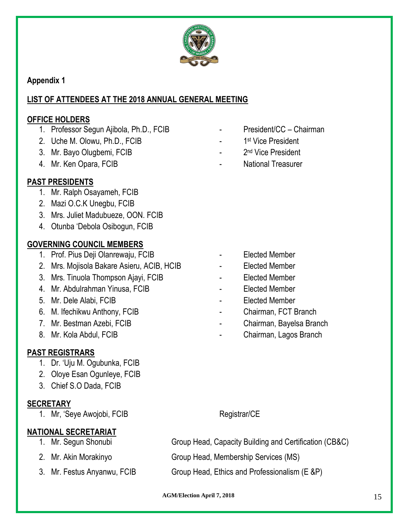

**Appendix 1**

# **LIST OF ATTENDEES AT THE 2018 ANNUAL GENERAL MEETING**

## **OFFICE HOLDERS**

- 1. Professor Segun Ajibola, Ph.D., FCIB President/CC Chairman
- 2. Uche M. Olowu, Ph.D., FCIB
- 3. Mr. Bayo Olugbemi, FCIB
- 
- **PAST PRESIDENTS**
	- 1. Mr. Ralph Osayameh, FCIB
	- 2. Mazi O.C.K Unegbu, FCIB
	- 3. Mrs. Juliet Madubueze, OON. FCIB
	- 4. Otunba 'Debola Osibogun, FCIB

# **GOVERNING COUNCIL MEMBERS**

- 1. Prof. Pius Deji Olanrewaju, FCIB Flected Member
- 2. Mrs. Mojisola Bakare Asieru, ACIB, HCIB Elected Member
- 3. Mrs. Tinuola Thompson Ajayi, FCIB **FRS 100 FFS 100 FFS 100 FFS 100 FFS 100 FFS**
- 4. Mr. Abdulrahman Yinusa, FCIB **And Access 19 and Access 19 and Fe**lected Member
- 5. Mr. Dele Alabi, FCIB and Contract Contract Contract Contract Contract Contract Contract Contract Contract Contract Contract Contract Contract Contract Contract Contract Contract Contract Contract Contract Contract Contr
- 6. M. Ifechikwu Anthony, FCIB Chairman, FCT Branch
- 
- 

# **PAST REGISTRARS**

- 1. Dr. 'Uju M. Ogubunka, FCIB
- 2. Oloye Esan Ogunleye, FCIB
- 3. Chief S.O Dada, FCIB

# **SECRETARY**

1. Mr, 'Seye Awojobi, FCIB Registrar/CE

# **NATIONAL SECRETARIAT**

- 
- 
- 
- 
- 1<sup>st</sup> Vice President
- 2<sup>nd</sup> Vice President
- 4. Mr. Ken Opara, FCIB National Treasurer

- 
- 
- 
- 
- 
- 
- 7. Mr. Bestman Azebi, FCIB **Chairman, Bayelsa Branch**
- 8. Mr. Kola Abdul, FCIB **Chairman, Lagos Branch**

1. Mr. Segun Shonubi Group Head, Capacity Building and Certification (CB&C)

2. Mr. Akin Morakinyo Group Head, Membership Services (MS)

3. Mr. Festus Anyanwu, FCIB Group Head, Ethics and Professionalism (E &P)